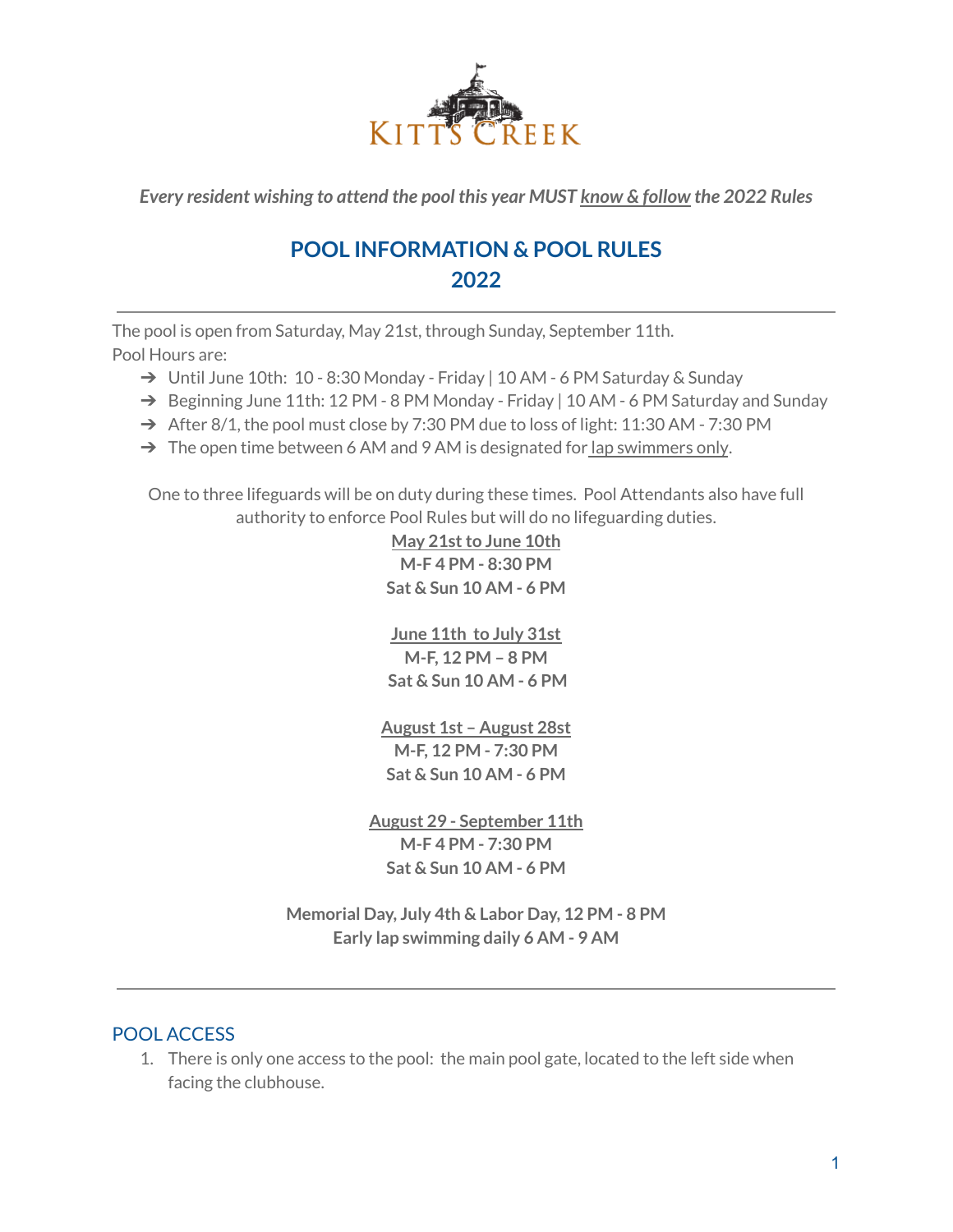

*Every resident wishing to attend the pool this year MUST know & follow the 2022 Rules*

# **POOL INFORMATION & POOL RULES 2022**

The pool is open from Saturday, May 21st, through Sunday, September 11th. Pool Hours are:

- ➔ Until June 10th: 10 8:30 Monday Friday | 10 AM 6 PM Saturday & Sunday
- → Beginning June 11th: 12 PM 8 PM Monday Friday | 10 AM 6 PM Saturday and Sunday
- $\rightarrow$  After 8/1, the pool must close by 7:30 PM due to loss of light: 11:30 AM 7:30 PM
- $\rightarrow$  The open time between 6 AM and 9 AM is designated for lap swimmers only.

One to three lifeguards will be on duty during these times. Pool Attendants also have full authority to enforce Pool Rules but will do no lifeguarding duties.

> **May 21stto June 10th M-F 4 PM - 8:30 PM Sat & Sun 10 AM - 6 PM**

> **June 11th to July 31st M-F, 12 PM – 8 PM Sat & Sun 10 AM - 6 PM**

**August 1st – August 28st M-F, 12 PM - 7:30 PM Sat & Sun 10 AM - 6 PM**

**August 29 - September 11th M-F 4 PM - 7:30 PM Sat & Sun 10 AM - 6 PM**

**Memorial Day, July 4th & Labor Day, 12 PM - 8 PM Early lap swimming daily 6 AM - 9 AM**

# POOL ACCESS

1. There is only one access to the pool: the main pool gate, located to the left side when facing the clubhouse.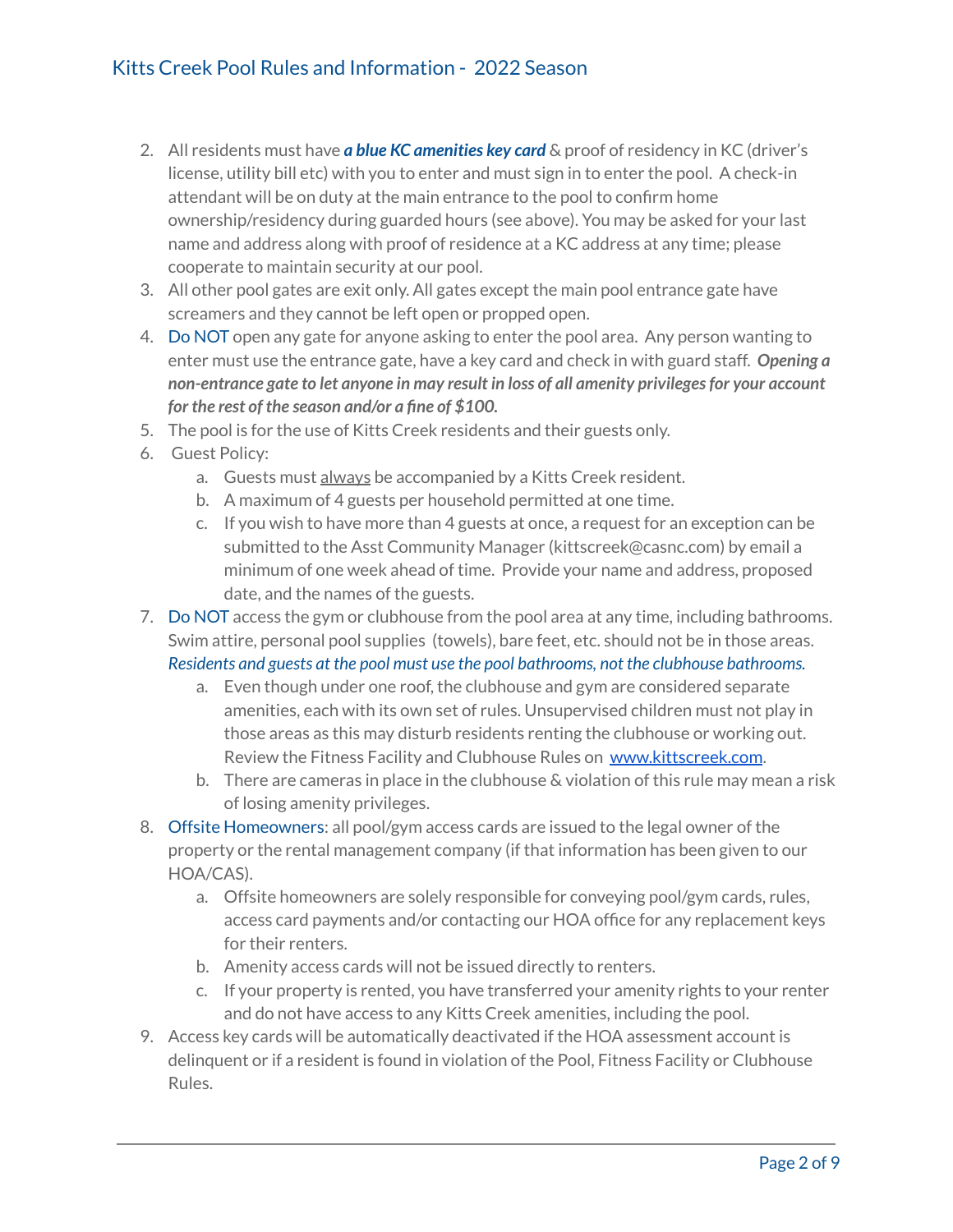- 2. All residents must have *a blue KC amenities key card* & proof of residency in KC (driver's license, utility bill etc) with you to enter and must sign in to enter the pool. A check-in attendant will be on duty at the main entrance to the pool to confirm home ownership/residency during guarded hours (see above). You may be asked for your last name and address along with proof of residence at a KC address at any time; please cooperate to maintain security at our pool.
- 3. All other pool gates are exit only. All gates except the main pool entrance gate have screamers and they cannot be left open or propped open.
- 4. Do NOT open any gate for anyone asking to enter the pool area. Any person wanting to enter must use the entrance gate, have a key card and check in with guard staff. *Opening a non-entrance gate to let anyone in may result in loss of all amenity privilegesfor your account for the rest of the season and/or a fine of \$100.*
- 5. The pool is for the use of Kitts Creek residents and their guests only.
- 6. Guest Policy:
	- a. Guests must always be accompanied by a Kitts Creek resident.
	- b. A maximum of 4 guests per household permitted at one time.
	- c. If you wish to have more than 4 guests at once, a request for an exception can be submitted to the Asst Community Manager (kittscreek@casnc.com) by email a minimum of one week ahead of time. Provide your name and address, proposed date, and the names of the guests.
- 7. Do NOT access the gym or clubhouse from the pool area at any time, including bathrooms. Swim attire, personal pool supplies (towels), bare feet, etc. should not be in those areas. *Residents and guests at the pool must use the pool bathrooms, not the clubhouse bathrooms.*
	- a. Even though under one roof, the clubhouse and gym are considered separate amenities, each with its own set of rules. Unsupervised children must not play in those areas as this may disturb residents renting the clubhouse or working out. Review the Fitness Facility and Clubhouse Rules on [www.kittscreek.com](http://www.kittscreek.com).
	- b. There are cameras in place in the clubhouse & violation of this rule may mean a risk of losing amenity privileges.
- 8. Offsite Homeowners: all pool/gym access cards are issued to the legal owner of the property or the rental management company (if that information has been given to our HOA/CAS).
	- a. Offsite homeowners are solely responsible for conveying pool/gym cards, rules, access card payments and/or contacting our HOA office for any replacement keys for their renters.
	- b. Amenity access cards will not be issued directly to renters.
	- c. If your property is rented, you have transferred your amenity rights to your renter and do not have access to any Kitts Creek amenities, including the pool.
- 9. Access key cards will be automatically deactivated if the HOA assessment account is delinquent or if a resident is found in violation of the Pool, Fitness Facility or Clubhouse Rules.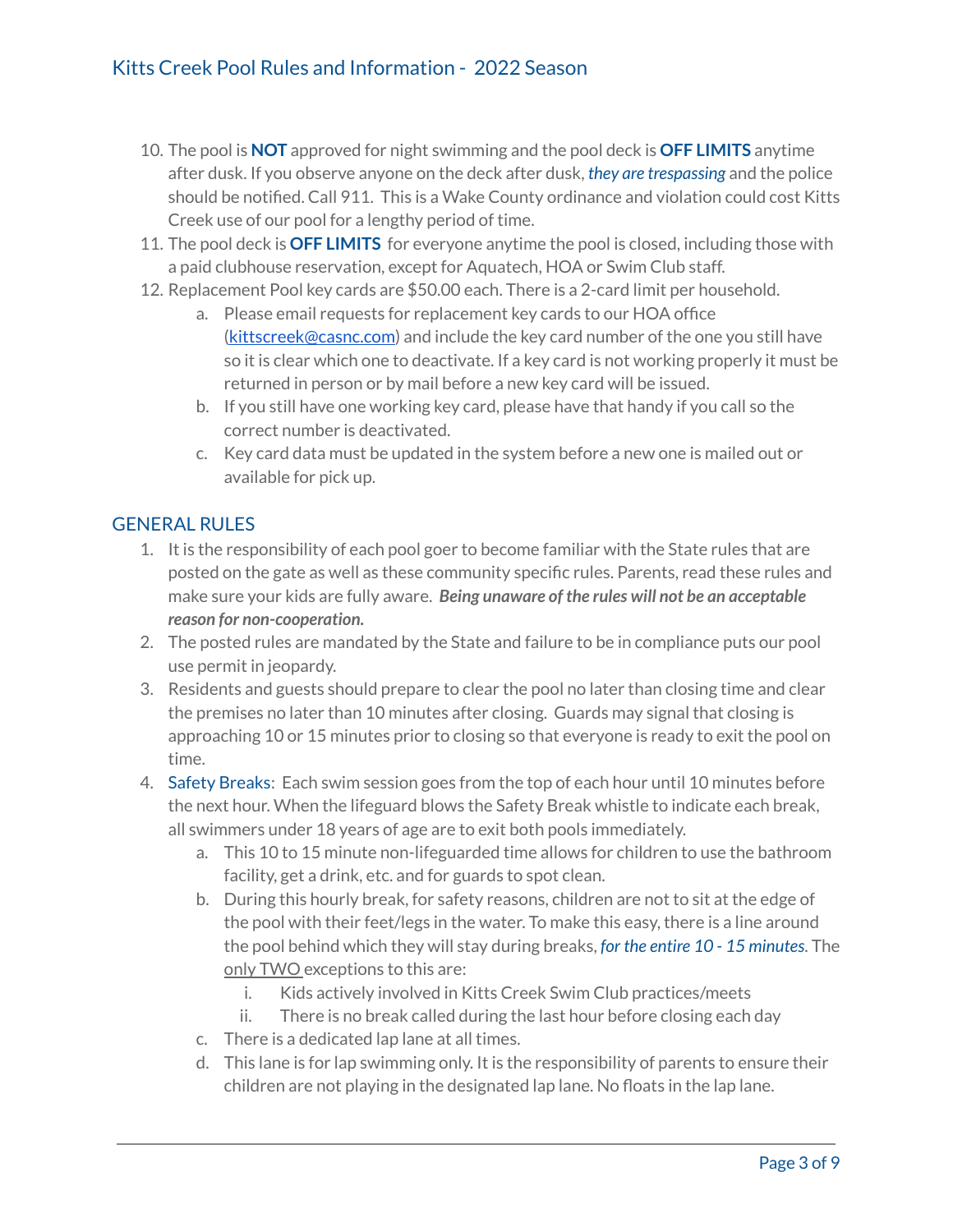- 10. The pool is **NOT** approved for night swimming and the pool deck is **OFF LIMITS** anytime after dusk. If you observe anyone on the deck after dusk, *they are trespassing* and the police should be notified. Call 911. This is a Wake County ordinance and violation could cost Kitts Creek use of our pool for a lengthy period of time.
- 11. The pool deck is **OFF LIMITS** for everyone anytime the pool is closed, including those with a paid clubhouse reservation, except for Aquatech, HOA or Swim Club staff.
- 12. Replacement Pool key cards are \$50.00 each. There is a 2-card limit per household.
	- a. Please email requests for replacement key cards to our HOA office [\(kittscreek@casnc.com](mailto:kittscreek@casnc.com)) and include the key card number of the one you still have so it is clear which one to deactivate. If a key card is not working properly it must be returned in person or by mail before a new key card will be issued.
	- b. If you still have one working key card, please have that handy if you call so the correct number is deactivated.
	- c. Key card data must be updated in the system before a new one is mailed out or available for pick up.

# GENERAL RULES

- 1. It is the responsibility of each pool goer to become familiar with the State rules that are posted on the gate as well as these community specific rules. Parents, read these rules and make sure your kids are fully aware. *Being unaware of the rules will not be an acceptable reason for non-cooperation.*
- 2. The posted rules are mandated by the State and failure to be in compliance puts our pool use permit in jeopardy.
- 3. Residents and guests should prepare to clear the pool no later than closing time and clear the premises no later than 10 minutes after closing. Guards may signal that closing is approaching 10 or 15 minutes prior to closing so that everyone is ready to exit the pool on time.
- 4. Safety Breaks: Each swim session goes from the top of each hour until 10 minutes before the next hour. When the lifeguard blows the Safety Break whistle to indicate each break, all swimmers under 18 years of age are to exit both pools immediately.
	- a. This 10 to 15 minute non-lifeguarded time allows for children to use the bathroom facility, get a drink, etc. and for guards to spot clean.
	- b. During this hourly break, for safety reasons, children are not to sit at the edge of the pool with their feet/legs in the water. To make this easy, there is a line around the pool behind which they will stay during breaks, *for the entire 10 - 15 minutes*. The only TWO exceptions to this are:
		- i. Kids actively involved in Kitts Creek Swim Club practices/meets
		- ii. There is no break called during the last hour before closing each day
	- c. There is a dedicated lap lane at all times.
	- d. This lane is for lap swimming only. It is the responsibility of parents to ensure their children are not playing in the designated lap lane. No floats in the lap lane.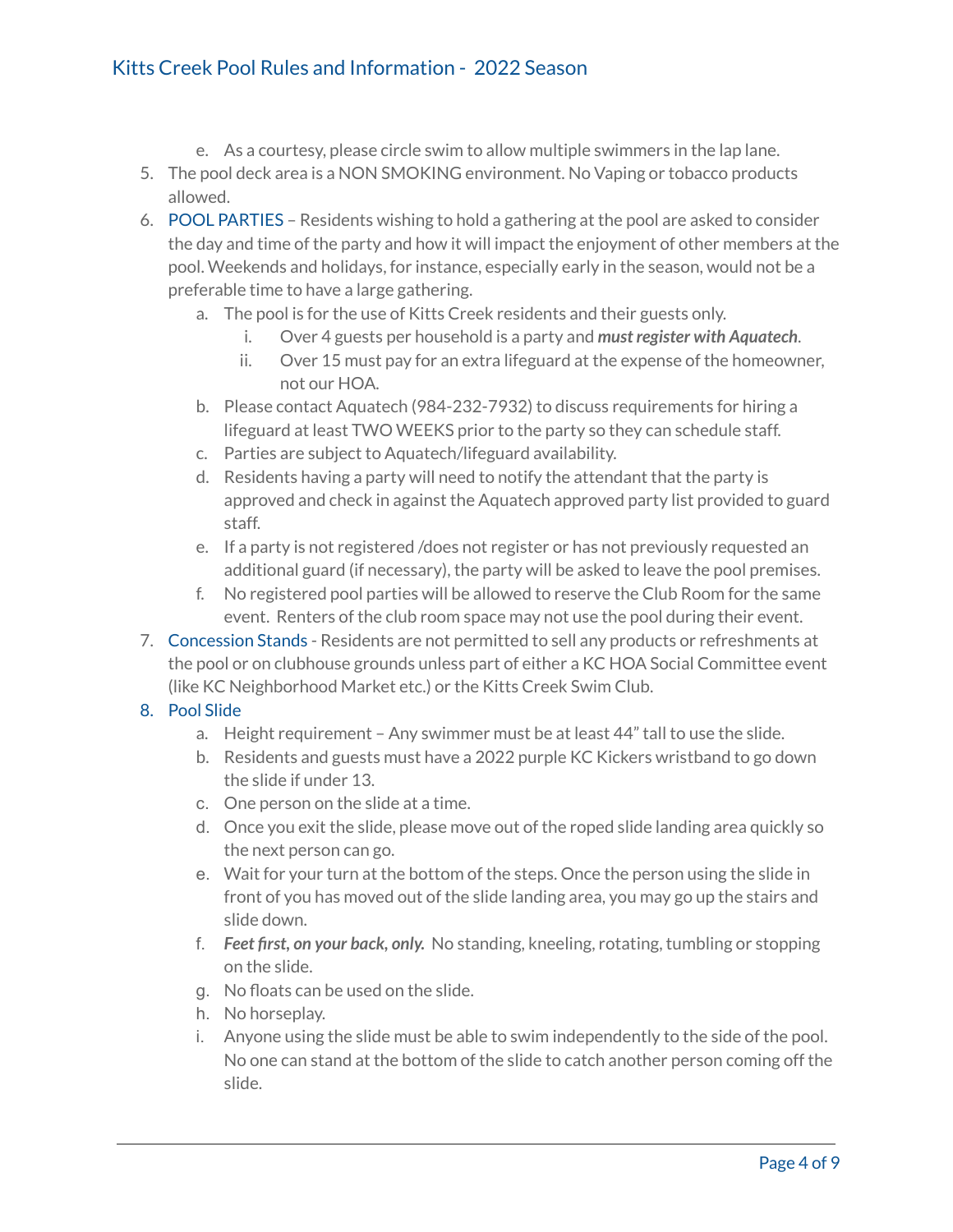# Kitts Creek Pool Rules and Information - 2022 Season

- e. As a courtesy, please circle swim to allow multiple swimmers in the lap lane.
- 5. The pool deck area is a NON SMOKING environment. No Vaping or tobacco products allowed.
- 6. POOL PARTIES Residents wishing to hold a gathering at the pool are asked to consider the day and time of the party and how it will impact the enjoyment of other members at the pool. Weekends and holidays, for instance, especially early in the season, would not be a preferable time to have a large gathering.
	- a. The pool is for the use of Kitts Creek residents and their guests only.
		- i. Over 4 guests per household is a party and *must register with Aquatech*.
		- ii. Over 15 must pay for an extra lifeguard at the expense of the homeowner, not our HOA.
	- b. Please contact Aquatech (984-232-7932) to discuss requirements for hiring a lifeguard at least TWO WEEKS prior to the party so they can schedule staff.
	- c. Parties are subject to Aquatech/lifeguard availability.
	- d. Residents having a party will need to notify the attendant that the party is approved and check in against the Aquatech approved party list provided to guard staff.
	- e. If a party is not registered /does not register or has not previously requested an additional guard (if necessary), the party will be asked to leave the pool premises.
	- f. No registered pool parties will be allowed to reserve the Club Room for the same event. Renters of the club room space may not use the pool during their event.
- 7. Concession Stands Residents are not permitted to sell any products or refreshments at the pool or on clubhouse grounds unless part of either a KC HOA Social Committee event (like KC Neighborhood Market etc.) or the Kitts Creek Swim Club.

#### 8. Pool Slide

- a. Height requirement Any swimmer must be at least 44" tall to use the slide.
- b. Residents and guests must have a 2022 purple KC Kickers wristband to go down the slide if under 13.
- c. One person on the slide at a time.
- d. Once you exit the slide, please move out of the roped slide landing area quickly so the next person can go.
- e. Wait for your turn at the bottom of the steps. Once the person using the slide in front of you has moved out of the slide landing area, you may go up the stairs and slide down.
- f. *Feet first, on your back, only.* No standing, kneeling, rotating, tumbling or stopping on the slide.
- g. No floats can be used on the slide.
- h. No horseplay.
- i. Anyone using the slide must be able to swim independently to the side of the pool. No one can stand at the bottom of the slide to catch another person coming off the slide.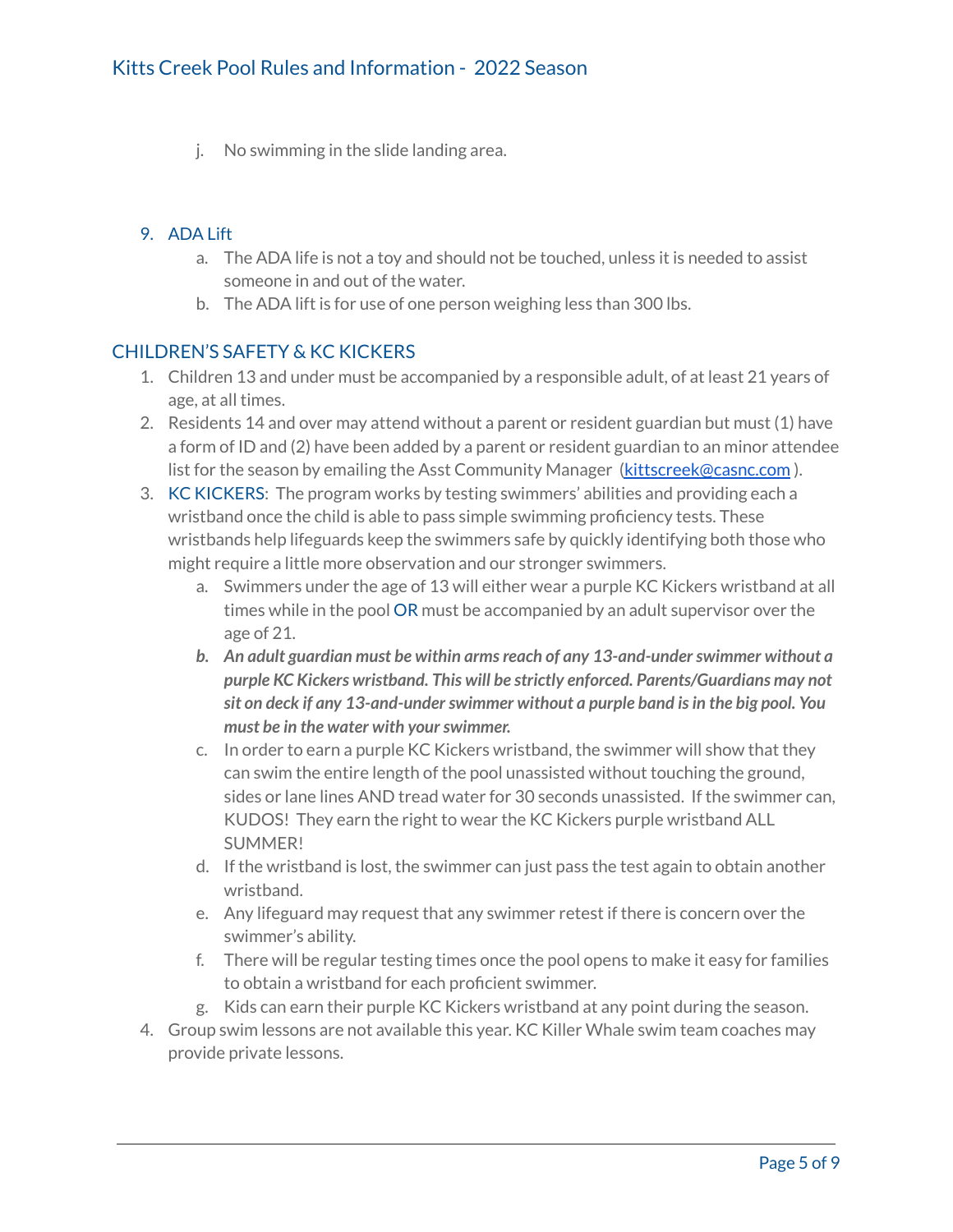j. No swimming in the slide landing area.

### 9. ADA Lift

- a. The ADA life is not a toy and should not be touched, unless it is needed to assist someone in and out of the water.
- b. The ADA lift is for use of one person weighing less than 300 lbs.

### CHILDREN'S SAFETY & KC KICKERS

- 1. Children 13 and under must be accompanied by a responsible adult, of at least 21 years of age, at all times.
- 2. Residents 14 and over may attend without a parent or resident guardian but must (1) have a form of ID and (2) have been added by a parent or resident guardian to an minor attendee list for the season by emailing the Asst Community Manager [\(kittscreek@casnc.com](mailto:kittscreek@casnc.com)).
- 3. KC KICKERS: The program works by testing swimmers' abilities and providing each a wristband once the child is able to pass simple swimming proficiency tests. These wristbands help lifeguards keep the swimmers safe by quickly identifying both those who might require a little more observation and our stronger swimmers.
	- a. Swimmers under the age of 13 will either wear a purple KC Kickers wristband at all times while in the pool OR must be accompanied by an adult supervisor over the age of 21.
	- *b. An adult guardian must be within armsreach of any 13-and-underswimmer without a purple KC Kickers wristband. This will be strictly enforced. Parents/Guardians may not sit on deck if any 13-and-underswimmer without a purple band isin the big pool. You must be in the water with yourswimmer.*
	- c. In order to earn a purple KC Kickers wristband, the swimmer will show that they can swim the entire length of the pool unassisted without touching the ground, sides or lane lines AND tread water for 30 seconds unassisted. If the swimmer can, KUDOS! They earn the right to wear the KC Kickers purple wristband ALL SUMMER!
	- d. If the wristband is lost, the swimmer can just pass the test again to obtain another wristband.
	- e. Any lifeguard may request that any swimmer retest if there is concern over the swimmer's ability.
	- f. There will be regular testing times once the pool opens to make it easy for families to obtain a wristband for each proficient swimmer.
	- g. Kids can earn their purple KC Kickers wristband at any point during the season.
- 4. Group swim lessons are not available this year. KC Killer Whale swim team coaches may provide private lessons.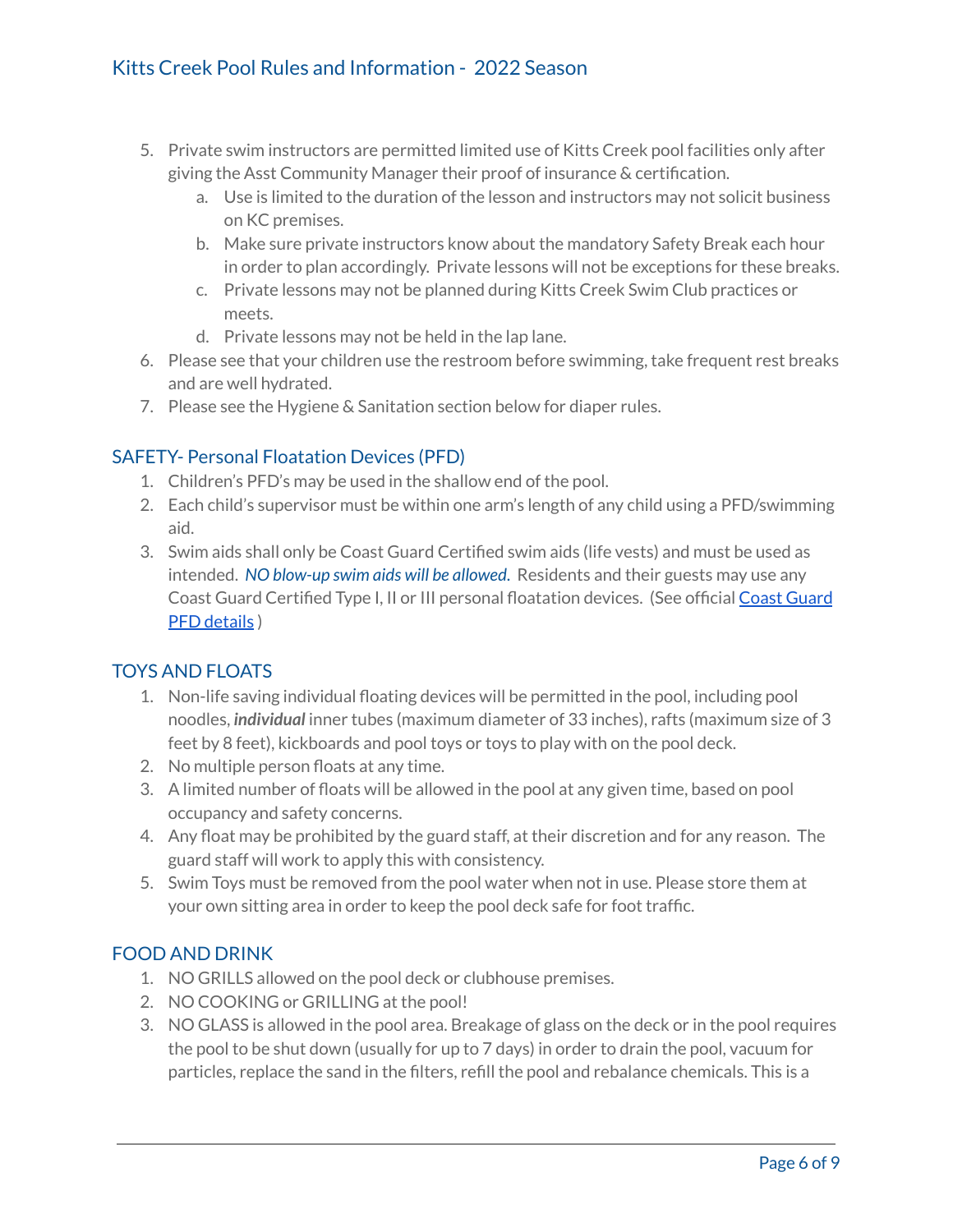- 5. Private swim instructors are permitted limited use of Kitts Creek pool facilities only after giving the Asst Community Manager their proof of insurance & certification.
	- a. Use is limited to the duration of the lesson and instructors may not solicit business on KC premises.
	- b. Make sure private instructors know about the mandatory Safety Break each hour in order to plan accordingly. Private lessons will not be exceptions for these breaks.
	- c. Private lessons may not be planned during Kitts Creek Swim Club practices or meets.
	- d. Private lessons may not be held in the lap lane.
- 6. Please see that your children use the restroom before swimming, take frequent rest breaks and are well hydrated.
- 7. Please see the Hygiene & Sanitation section below for diaper rules.

# SAFETY- Personal Floatation Devices (PFD)

- 1. Children's PFD's may be used in the shallow end of the pool.
- 2. Each child's supervisor must be within one arm's length of any child using a PFD/swimming aid.
- 3. Swim aids shall only be Coast Guard Certified swim aids (life vests) and must be used as intended. *NO blow-up swim aids will be allowed*. Residents and their guests may use any Coast Guard Certified Type I, II or III personal floatation devices. (See official Coast [Guard](https://www.dco.uscg.mil/CG-ENG-4/PFDSel/) PFD [details](https://www.dco.uscg.mil/CG-ENG-4/PFDSel/) )

## TOYS AND FLOATS

- 1. Non-life saving individual floating devices will be permitted in the pool, including pool noodles, *individual* inner tubes (maximum diameter of 33 inches), rafts (maximum size of 3 feet by 8 feet), kickboards and pool toys or toys to play with on the pool deck.
- 2. No multiple person floats at any time.
- 3. A limited number of floats will be allowed in the pool at any given time, based on pool occupancy and safety concerns.
- 4. Any float may be prohibited by the guard staff, at their discretion and for any reason. The guard staff will work to apply this with consistency.
- 5. Swim Toys must be removed from the pool water when not in use. Please store them at your own sitting area in order to keep the pool deck safe for foot traffic.

## FOOD AND DRINK

- 1. NO GRILLS allowed on the pool deck or clubhouse premises.
- 2. NO COOKING or GRILLING at the pool!
- 3. NO GLASS is allowed in the pool area. Breakage of glass on the deck or in the pool requires the pool to be shut down (usually for up to 7 days) in order to drain the pool, vacuum for particles, replace the sand in the filters, refill the pool and rebalance chemicals. This is a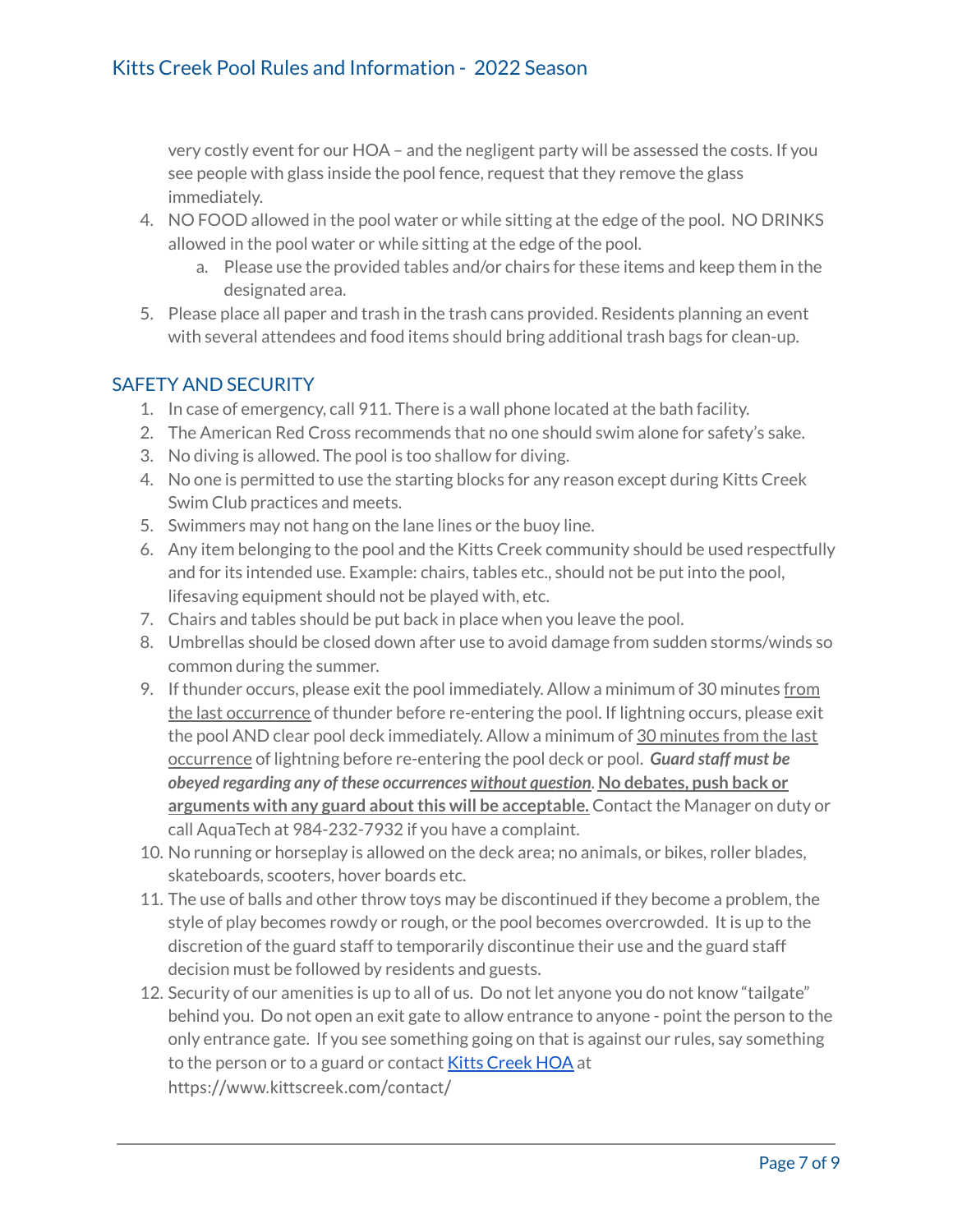very costly event for our HOA – and the negligent party will be assessed the costs. If you see people with glass inside the pool fence, request that they remove the glass immediately.

- 4. NO FOOD allowed in the pool water or while sitting at the edge of the pool. NO DRINKS allowed in the pool water or while sitting at the edge of the pool.
	- a. Please use the provided tables and/or chairs for these items and keep them in the designated area.
- 5. Please place all paper and trash in the trash cans provided. Residents planning an event with several attendees and food items should bring additional trash bags for clean-up.

## SAFETY AND SECURITY

- 1. In case of emergency, call 911. There is a wall phone located at the bath facility.
- 2. The American Red Cross recommends that no one should swim alone for safety's sake.
- 3. No diving is allowed. The pool is too shallow for diving.
- 4. No one is permitted to use the starting blocks for any reason except during Kitts Creek Swim Club practices and meets.
- 5. Swimmers may not hang on the lane lines or the buoy line.
- 6. Any item belonging to the pool and the Kitts Creek community should be used respectfully and for its intended use. Example: chairs, tables etc., should not be put into the pool, lifesaving equipment should not be played with, etc.
- 7. Chairs and tables should be put back in place when you leave the pool.
- 8. Umbrellas should be closed down after use to avoid damage from sudden storms/winds so common during the summer.
- 9. If thunder occurs, please exit the pool immediately. Allow a minimum of 30 minutes from the last occurrence of thunder before re-entering the pool. If lightning occurs, please exit the pool AND clear pool deck immediately. Allow a minimum of 30 minutes from the last occurrence of lightning before re-entering the pool deck or pool. *Guard staff must be obeyed regarding any of these occurrences without question*. **No debates, push back or arguments with any guard aboutthis will be acceptable.** Contact the Manager on duty or call AquaTech at 984-232-7932 if you have a complaint.
- 10. No running or horseplay is allowed on the deck area; no animals, or bikes, roller blades, skateboards, scooters, hover boards etc.
- 11. The use of balls and other throw toys may be discontinued if they become a problem, the style of play becomes rowdy or rough, or the pool becomes overcrowded. It is up to the discretion of the guard staff to temporarily discontinue their use and the guard staff decision must be followed by residents and guests.
- 12. Security of our amenities is up to all of us. Do not let anyone you do not know "tailgate" behind you. Do not open an exit gate to allow entrance to anyone - point the person to the only entrance gate. If you see something going on that is against our rules, say something to the person or to a guard or contact Kitts [Creek](http://www.kittscreek.com/contact/) HOA at https://www.kittscreek.com/contact/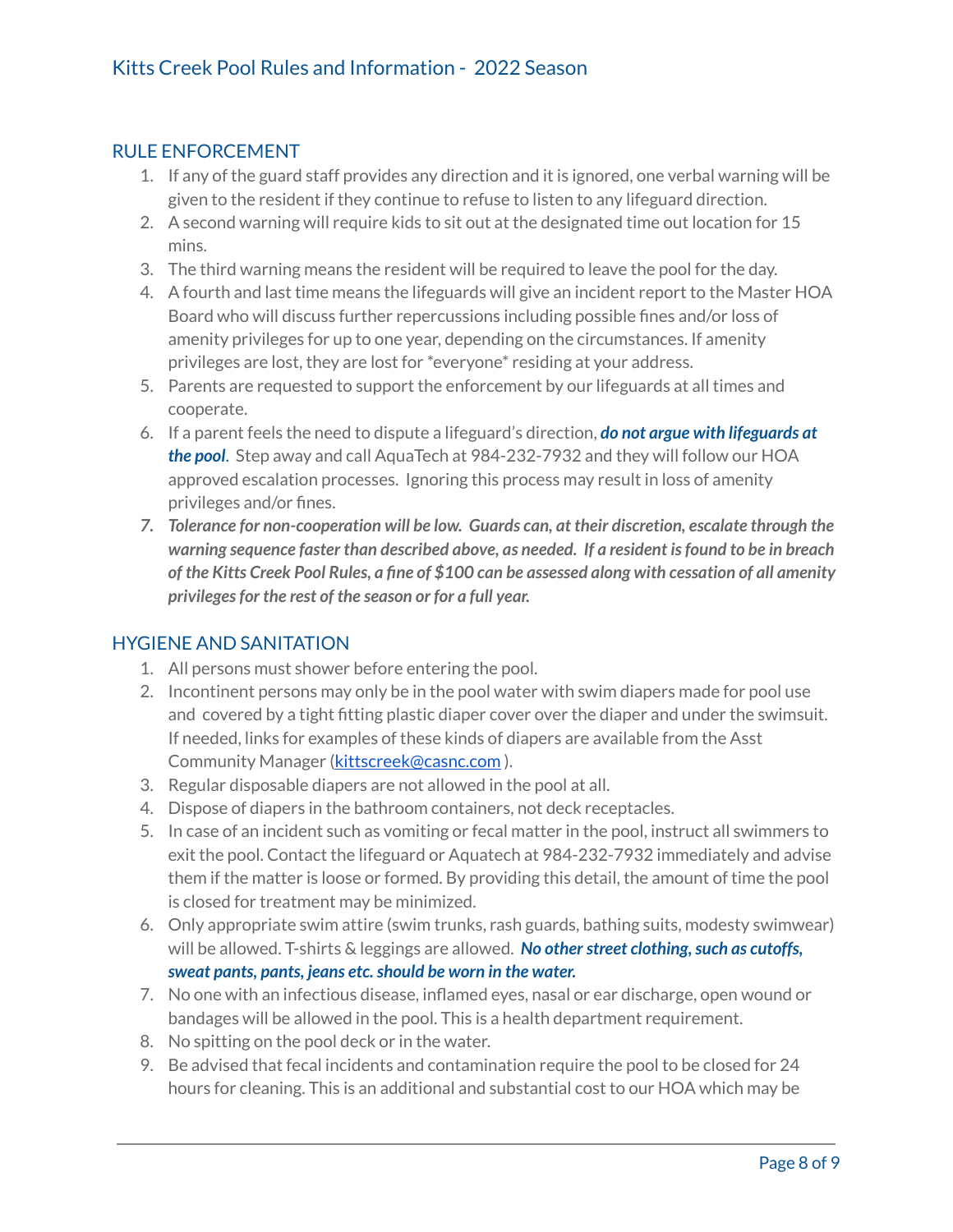#### RULE ENFORCEMENT

- 1. If any of the guard staff provides any direction and it is ignored, one verbal warning will be given to the resident if they continue to refuse to listen to any lifeguard direction.
- 2. A second warning will require kids to sit out at the designated time out location for 15 mins.
- 3. The third warning means the resident will be required to leave the pool for the day.
- 4. A fourth and last time means the lifeguards will give an incident report to the Master HOA Board who will discuss further repercussions including possible fines and/or loss of amenity privileges for up to one year, depending on the circumstances. If amenity privileges are lost, they are lost for \*everyone\* residing at your address.
- 5. Parents are requested to support the enforcement by our lifeguards at all times and cooperate.
- 6. If a parent feels the need to dispute a lifeguard's direction, *do not argue with lifeguards at the pool*. Step away and call AquaTech at 984-232-7932 and they will follow our HOA approved escalation processes. Ignoring this process may result in loss of amenity privileges and/or fines.
- *7. Tolerance for non-cooperation will be low. Guards can, at their discretion, escalate through the warning sequence faster than described above, as needed. If a resident isfound to be in breach* of the Kitts Creek Pool Rules, a fine of \$100 can be assessed along with cessation of all amenity *privilegesfor the rest of the season or for a full year.*

#### HYGIENE AND SANITATION

- 1. All persons must shower before entering the pool.
- 2. Incontinent persons may only be in the pool water with swim diapers made for pool use and covered by a tight fitting plastic diaper cover over the diaper and under the swimsuit. If needed, links for examples of these kinds of diapers are available from the Asst Community Manager [\(kittscreek@casnc.com](mailto:kittscreek@casnc.com)).
- 3. Regular disposable diapers are not allowed in the pool at all.
- 4. Dispose of diapers in the bathroom containers, not deck receptacles.
- 5. In case of an incident such as vomiting or fecal matter in the pool, instruct all swimmers to exit the pool. Contact the lifeguard or Aquatech at 984-232-7932 immediately and advise them if the matter is loose or formed. By providing this detail, the amount of time the pool is closed for treatment may be minimized.
- 6. Only appropriate swim attire (swim trunks, rash guards, bathing suits, modesty swimwear) will be allowed. T-shirts & leggings are allowed. No other street clothing, such as cutoffs, *sweat pants, pants, jeans etc.should be worn in the water.*
- 7. No one with an infectious disease, inflamed eyes, nasal or ear discharge, open wound or bandages will be allowed in the pool. This is a health department requirement.
- 8. No spitting on the pool deck or in the water.
- 9. Be advised that fecal incidents and contamination require the pool to be closed for 24 hours for cleaning. This is an additional and substantial cost to our HOA which may be